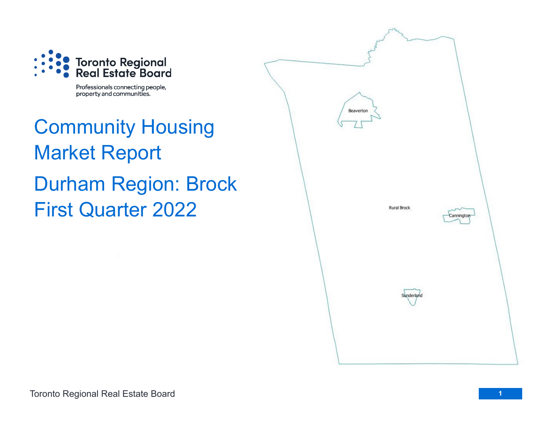

Professionals connecting people, property and communities.

Community Housing Market Report Durham Region: Brock First Quarter 2022

| Beaverton   |            |  |  |  |
|-------------|------------|--|--|--|
| Rural Brock | Cannington |  |  |  |
| Sunderland  |            |  |  |  |
|             |            |  |  |  |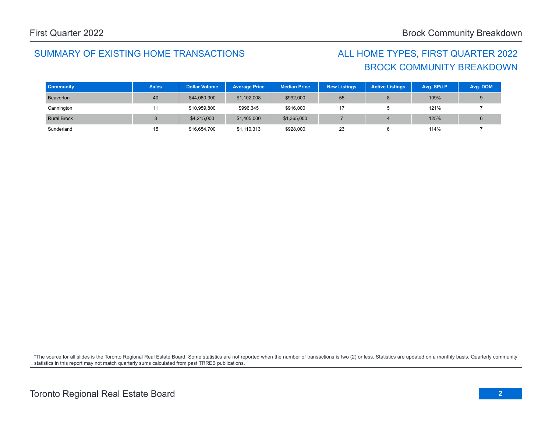## SUMMARY OF EXISTING HOME TRANSACTIONS ALL HOME TYPES, FIRST QUARTER 2022

## BROCK COMMUNITY BREAKDOWN

| <b>Community</b>   | <b>Sales</b> | <b>Dollar Volume</b> | <b>Average Price</b> | <b>Median Price</b> | <b>New Listings</b> | <b>Active Listings</b> | Avg. SP/LP | Avg. DOM |
|--------------------|--------------|----------------------|----------------------|---------------------|---------------------|------------------------|------------|----------|
| Beaverton          | 40           | \$44,080,300         | \$1,102,008          | \$992,000           | 55                  |                        | 109%       |          |
| Cannington         |              | \$10,959,800         | \$996,345            | \$916,000           |                     |                        | 121%       |          |
| <b>Rural Brock</b> |              | \$4,215,000          | \$1,405,000          | \$1,365,000         |                     |                        | 125%       |          |
| Sunderland         | 15           | \$16,654,700         | \$1,110,313          | \$928,000           | 23                  |                        | 114%       |          |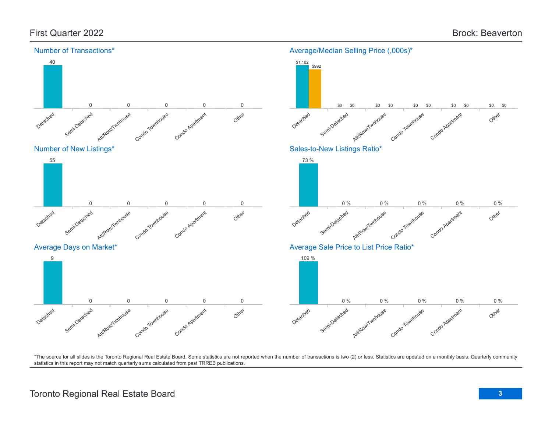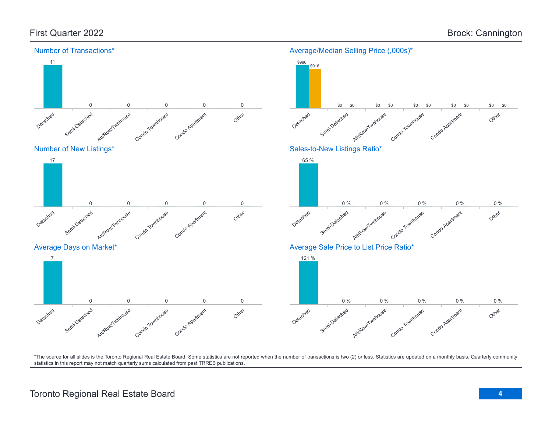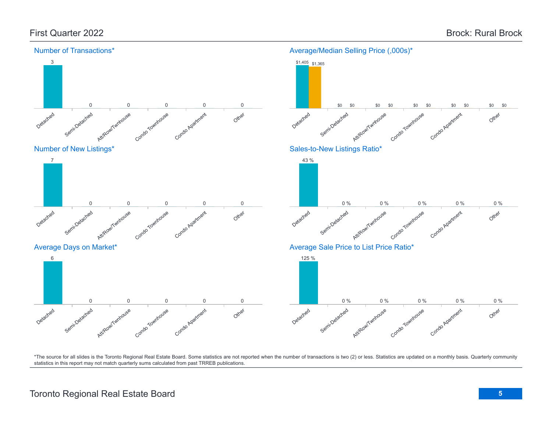